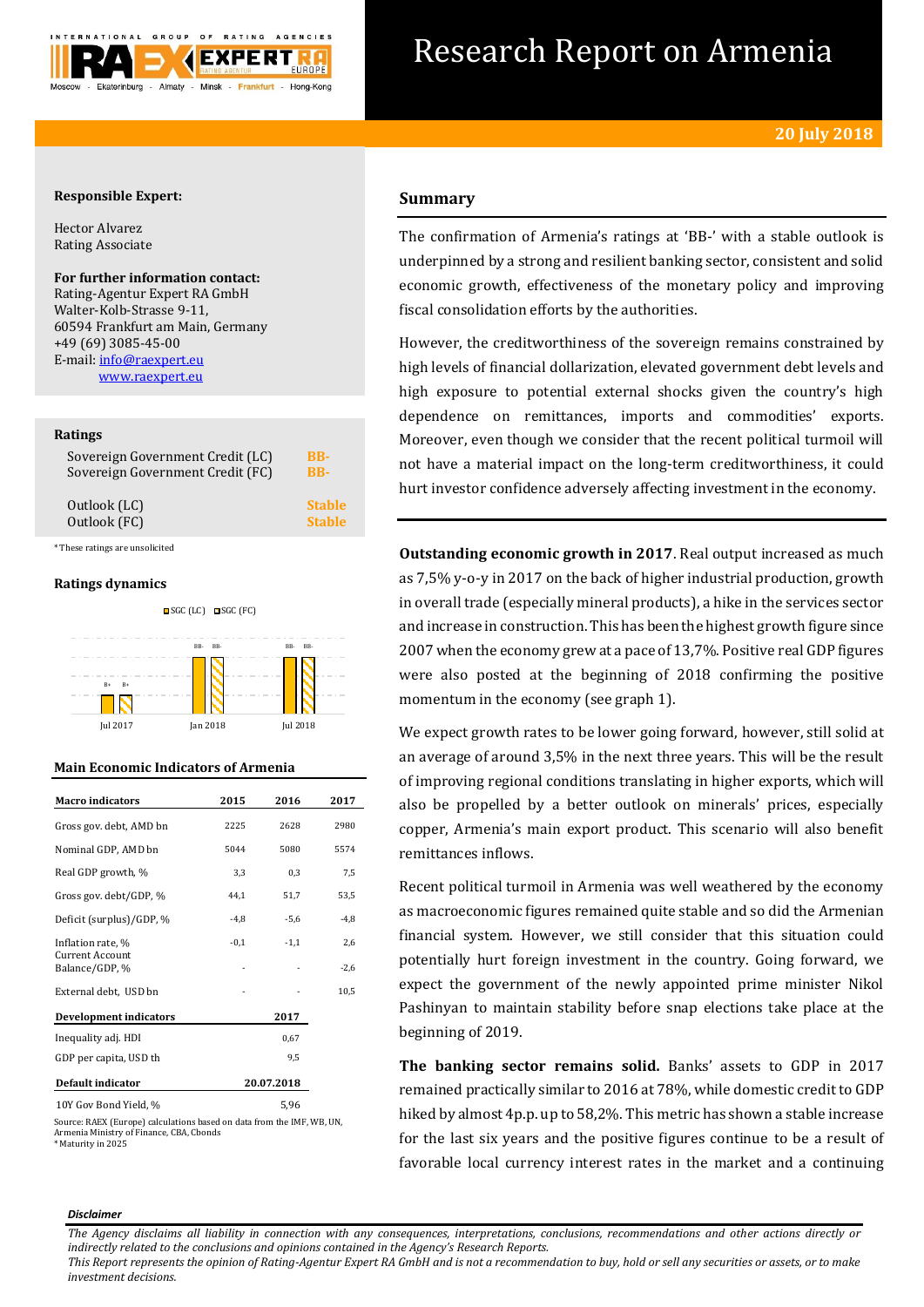

# Research Report on Armenia

# **Responsible Expert:**

Hector Alvarez Rating Associate

# **For further information contact:**

Rating-Agentur Expert RA GmbH Walter-Kolb-Strasse 9-11, 60594 Frankfurt am Main, Germany +49 (69) 3085-45-00 E-mail[: info@raexpert.eu](mailto:info@raexpert.eu) [www.raexpert.eu](http://raexpert.eu/)

## **Ratings**

| Sovereign Government Credit (LC)<br>BB-<br>Sovereign Government Credit (FC) | <b>BB-</b>    |
|-----------------------------------------------------------------------------|---------------|
| Outlook (LC)                                                                | <b>Stable</b> |
| Outlook (FC)                                                                | <b>Stable</b> |

\* These ratings are unsolicited

# **Ratings dynamics**



# **Main Economic Indicators of Armenia**

| <b>Macro</b> indicators                  | 2015       | 2016       | 2017   |
|------------------------------------------|------------|------------|--------|
| Gross gov. debt, AMD bn                  | 2225       | 2628       | 2980   |
| Nominal GDP, AMD bn                      | 5044       | 5080       | 5574   |
| Real GDP growth, %                       | 3,3        | 0.3        | 7,5    |
| Gross gov. debt/GDP, %                   | 44.1       | 51.7       | 53,5   |
| Deficit (surplus)/GDP, %                 | $-4,8$     | $-5,6$     | $-4,8$ |
| Inflation rate, %                        | $-0.1$     | $-1.1$     | 2,6    |
| <b>Current Account</b><br>Balance/GDP, % | ٠          |            | $-2,6$ |
| External debt, USD bn                    |            |            | 10,5   |
| Development indicators                   |            | 2017       |        |
| Inequality adj. HDI                      |            | 0,67       |        |
| GDP per capita, USD th                   |            | 9,5        |        |
| Default indicator                        | 20.07.2018 |            |        |
| $10V \cap D = 13711101$                  |            | $F \cap C$ |        |

10Y Gov Bond Yield, % 5,96

Source: RAEX (Europe) calculations based on data from the IMF, WB, UN, Armenia Ministry of Finance, CBA, Cbonds \* Maturity in 2025

# **Summary**

The confirmation of Armenia's ratings at 'BB-' with a stable outlook is underpinned by a strong and resilient banking sector, consistent and solid economic growth, effectiveness of the monetary policy and improving fiscal consolidation efforts by the authorities.

However, the creditworthiness of the sovereign remains constrained by high levels of financial dollarization, elevated government debt levels and high exposure to potential external shocks given the country's high dependence on remittances, imports and commodities' exports. Moreover, even though we consider that the recent political turmoil will not have a material impact on the long-term creditworthiness, it could hurt investor confidence adversely affecting investment in the economy.

**Outstanding economic growth in 2017**. Real output increased as much as 7,5% y-o-y in 2017 on the back of higher industrial production, growth in overall trade (especially mineral products), a hike in the services sector and increase in construction. This has been the highest growth figure since 2007 when the economy grew at a pace of 13,7%. Positive real GDP figures were also posted at the beginning of 2018 confirming the positive momentum in the economy (see graph 1).

We expect growth rates to be lower going forward, however, still solid at an average of around 3,5% in the next three years. This will be the result of improving regional conditions translating in higher exports, which will also be propelled by a better outlook on minerals' prices, especially copper, Armenia's main export product. This scenario will also benefit remittances inflows.

Recent political turmoil in Armenia was well weathered by the economy as macroeconomic figures remained quite stable and so did the Armenian financial system. However, we still consider that this situation could potentially hurt foreign investment in the country. Going forward, we expect the government of the newly appointed prime minister Nikol Pashinyan to maintain stability before snap elections take place at the beginning of 2019.

**The banking sector remains solid.** Banks' assets to GDP in 2017 remained practically similar to 2016 at 78%, while domestic credit to GDP hiked by almost 4p.p. up to 58,2%. This metric has shown a stable increase for the last six years and the positive figures continue to be a result of favorable local currency interest rates in the market and a continuing

#### *Disclaimer*

*This Report represents the opinion of Rating-Agentur Expert RA GmbH and is not a recommendation to buy, hold or sell any securities or assets, or to make investment decisions.*

*The Agency disclaims all liability in connection with any consequences, interpretations, conclusions, recommendations and other actions directly or indirectly related to the conclusions and opinions contained in the Agency's Research Reports.*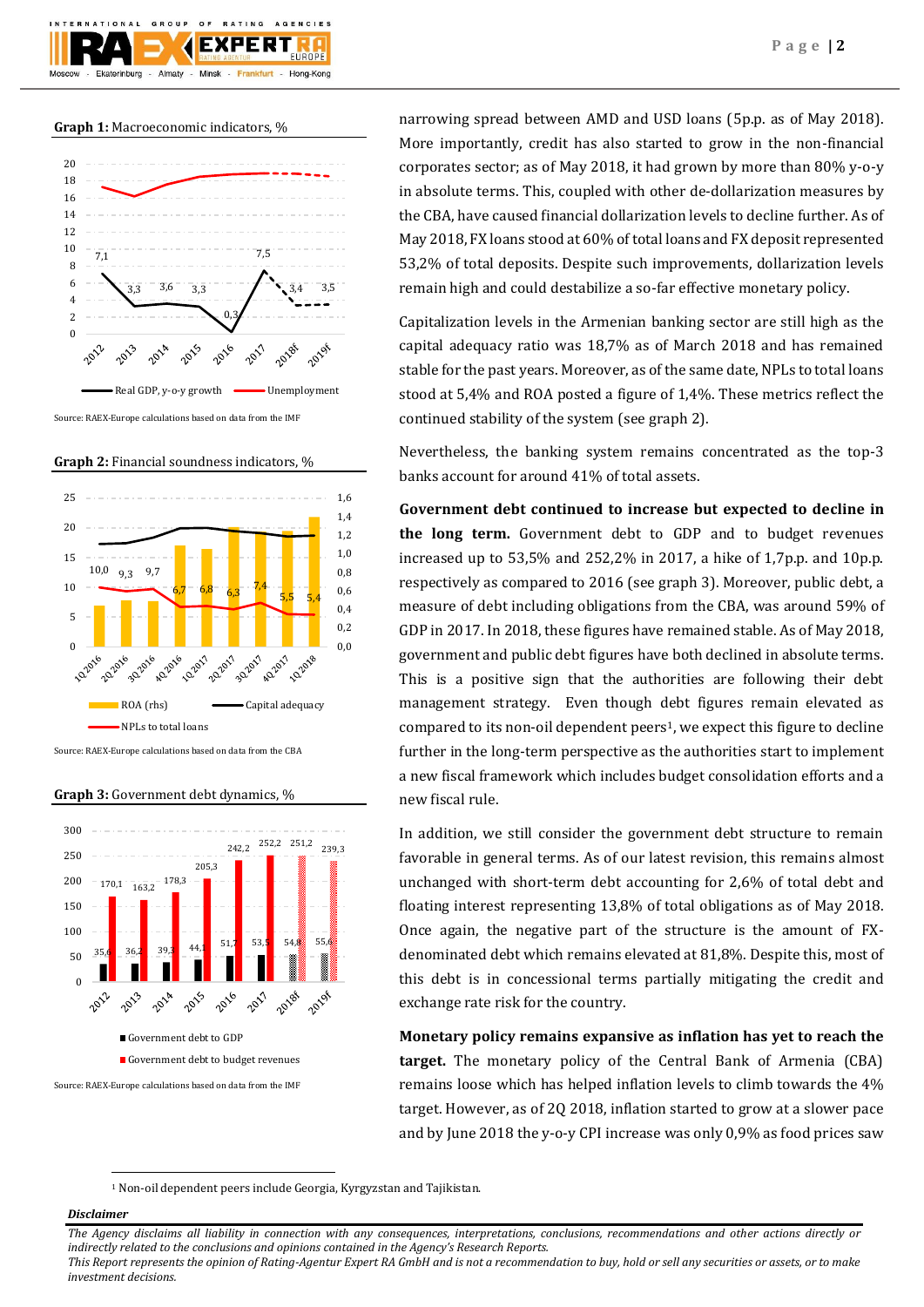**Graph 1:** Macroeconomic indicators, %



Source: RAEX-Europe calculations based on data from the IMF

**Graph 2:** Financial soundness indicators, %



Source: RAEX-Europe calculations based on data from the CBA

**Graph 3:** Government debt dynamics, %



Source: RAEX-Europe calculations based on data from the IMF

narrowing spread between AMD and USD loans (5p.p. as of May 2018). More importantly, credit has also started to grow in the non-financial corporates sector; as of May 2018, it had grown by more than 80% y-o-y in absolute terms. This, coupled with other de-dollarization measures by the CBA, have caused financial dollarization levels to decline further. As of May 2018, FX loans stood at 60% of total loans and FX deposit represented 53,2% of total deposits. Despite such improvements, dollarization levels remain high and could destabilize a so-far effective monetary policy.

Capitalization levels in the Armenian banking sector are still high as the capital adequacy ratio was 18,7% as of March 2018 and has remained stable for the past years. Moreover, as of the same date, NPLs to total loans stood at 5,4% and ROA posted a figure of 1,4%. These metrics reflect the continued stability of the system (see graph 2).

Nevertheless, the banking system remains concentrated as the top-3 banks account for around 41% of total assets.

**Government debt continued to increase but expected to decline in the long term.** Government debt to GDP and to budget revenues increased up to 53,5% and 252,2% in 2017, a hike of 1,7p.p. and 10p.p. respectively as compared to 2016 (see graph 3). Moreover, public debt, a measure of debt including obligations from the CBA, was around 59% of GDP in 2017. In 2018, these figures have remained stable. As of May 2018, government and public debt figures have both declined in absolute terms. This is a positive sign that the authorities are following their debt management strategy. Even though debt figures remain elevated as compared to its non-oil dependent peers<sup>1</sup>, we expect this figure to decline further in the long-term perspective as the authorities start to implement a new fiscal framework which includes budget consolidation efforts and a new fiscal rule.

In addition, we still consider the government debt structure to remain favorable in general terms. As of our latest revision, this remains almost unchanged with short-term debt accounting for 2,6% of total debt and floating interest representing 13,8% of total obligations as of May 2018. Once again, the negative part of the structure is the amount of FXdenominated debt which remains elevated at 81,8%. Despite this, most of this debt is in concessional terms partially mitigating the credit and exchange rate risk for the country.

**Monetary policy remains expansive as inflation has yet to reach the target.** The monetary policy of the Central Bank of Armenia (CBA) remains loose which has helped inflation levels to climb towards the 4% target. However, as of 2Q 2018, inflation started to grow at a slower pace and by June 2018 the y-o-y CPI increase was only 0,9% as food prices saw

<sup>1</sup> Non-oil dependent peers include Georgia, Kyrgyzstan and Tajikistan.

# *Disclaimer*

1

*The Agency disclaims all liability in connection with any consequences, interpretations, conclusions, recommendations and other actions directly or indirectly related to the conclusions and opinions contained in the Agency's Research Reports.*

*This Report represents the opinion of Rating-Agentur Expert RA GmbH and is not a recommendation to buy, hold or sell any securities or assets, or to make investment decisions.*